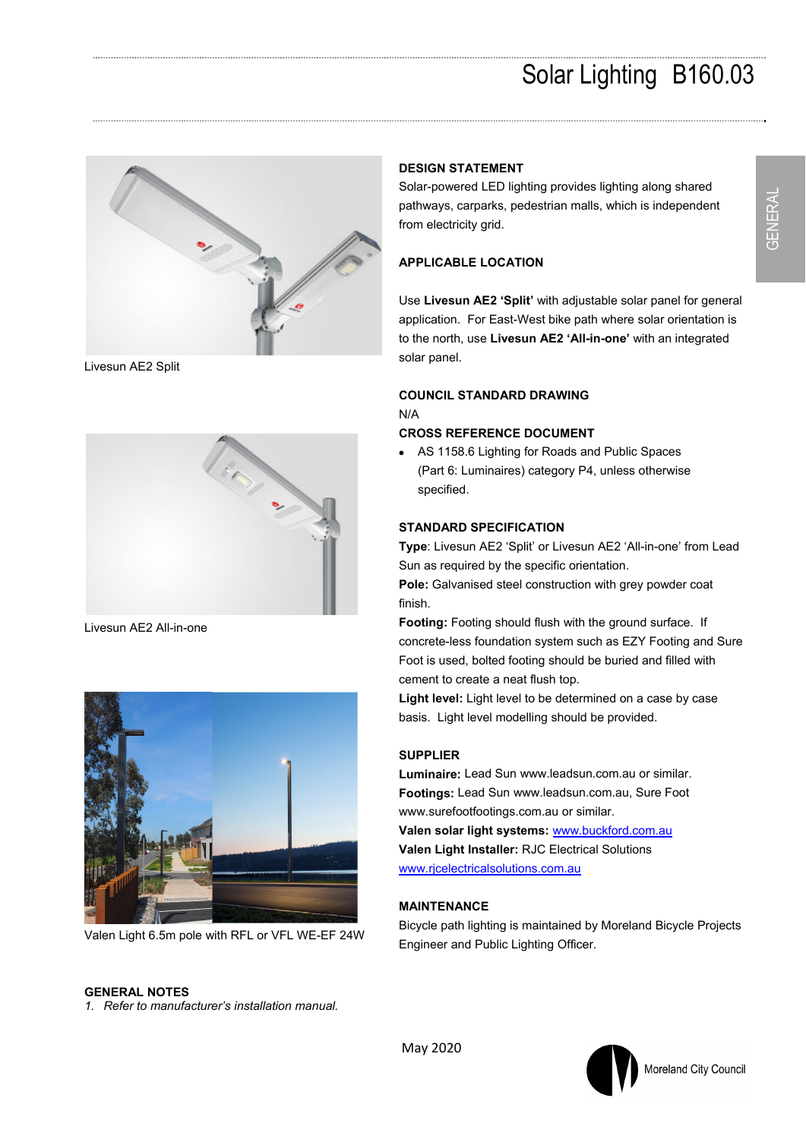## Solar Lighting B160.03



Livesun AE2 Split



Livesun AE2 All-in-one



Valen Light 6.5m pole with RFL or VFL WE-EF 24W

#### **DESIGN STATEMENT**

Solar-powered LED lighting provides lighting along shared pathways, carparks, pedestrian malls, which is independent from electricity grid.

#### **APPLICABLE LOCATION**

Use **Livesun AE2 'Split'** with adjustable solar panel for general application. For East-West bike path where solar orientation is to the north, use **Livesun AE2 'All-in-one'** with an integrated solar panel.

### **COUNCIL STANDARD DRAWING**

#### N/A

#### **CROSS REFERENCE DOCUMENT**

 AS 1158.6 Lighting for Roads and Public Spaces (Part 6: Luminaires) category P4, unless otherwise specified.

#### **STANDARD SPECIFICATION**

**Type**: Livesun AE2 'Split' or Livesun AE2 'All-in-one' from Lead Sun as required by the specific orientation.

**Pole:** Galvanised steel construction with grey powder coat finish.

**Footing:** Footing should flush with the ground surface. If concrete-less foundation system such as EZY Footing and Sure Foot is used, bolted footing should be buried and filled with cement to create a neat flush top.

**Light level:** Light level to be determined on a case by case basis. Light level modelling should be provided.

#### **SUPPLIER**

**Luminaire:** Lead Sun www.leadsun.com.au or similar. **Footings:** Lead Sun www.leadsun.com.au, Sure Foot www.surefootfootings.com.au or similar.

**Valen solar light systems:** www.buckford.com.au **Valen Light Installer:** RJC Electrical Solutions www.rjcelectricalsolutions.com.au

#### **MAINTENANCE**

Bicycle path lighting is maintained by Moreland Bicycle Projects Engineer and Public Lighting Officer.

#### **GENERAL NOTES**

*1. Refer to manufacturer's installation manual.*